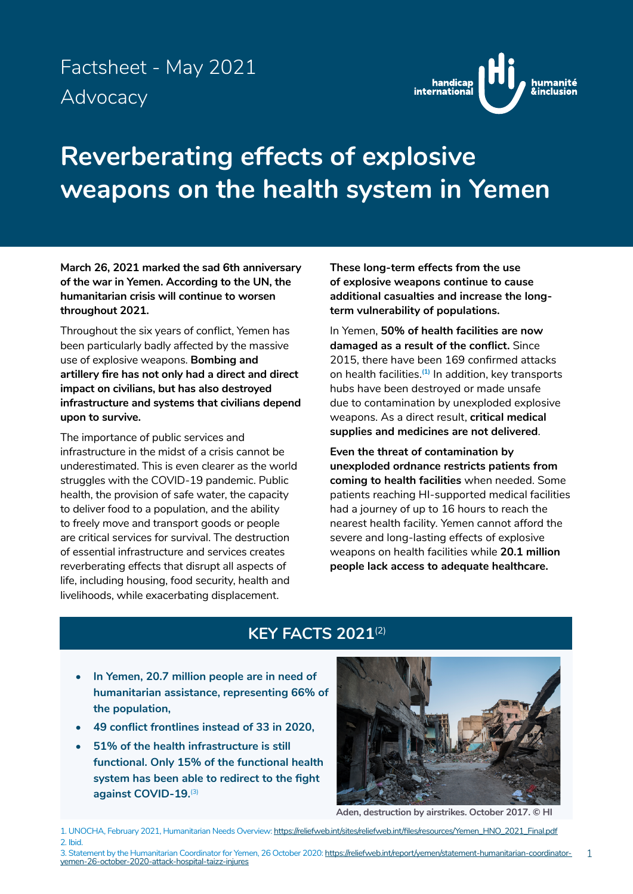## Factsheet - May 2021 Advocacy



# **Reverberating effects of explosive weapons on the health system in Yemen**

**March 26, 2021 marked the sad 6th anniversary of the war in Yemen. According to the UN, the humanitarian crisis will continue to worsen throughout 2021.** 

Throughout the six years of conflict, Yemen has been particularly badly affected by the massive use of explosive weapons. **Bombing and artillery fire has not only had a direct and direct impact on civilians, but has also destroyed infrastructure and systems that civilians depend upon to survive.**

The importance of public services and infrastructure in the midst of a crisis cannot be underestimated. This is even clearer as the world struggles with the COVID-19 pandemic. Public health, the provision of safe water, the capacity to deliver food to a population, and the ability to freely move and transport goods or people are critical services for survival. The destruction of essential infrastructure and services creates reverberating effects that disrupt all aspects of life, including housing, food security, health and livelihoods, while exacerbating displacement.

**These long-term effects from the use of explosive weapons continue to cause additional casualties and increase the longterm vulnerability of populations.**

In Yemen, **50% of health facilities are now damaged as a result of the conflict.** Since 2015, there have been 169 confirmed attacks on health facilities.**(1)** In addition, key transports hubs have been destroyed or made unsafe due to contamination by unexploded explosive weapons. As a direct result, **critical medical supplies and medicines are not delivered**.

**Even the threat of contamination by unexploded ordnance restricts patients from coming to health facilities** when needed. Some patients reaching HI-supported medical facilities had a journey of up to 16 hours to reach the nearest health facility. Yemen cannot afford the severe and long-lasting effects of explosive weapons on health facilities while **20.1 million people lack access to adequate healthcare.**

### **KEY FACTS 2021**(2)

- **• In Yemen, 20.7 million people are in need of humanitarian assistance, representing 66% of the population,**
- **• 49 conflict frontlines instead of 33 in 2020,**
- **• 51% of the health infrastructure is still functional. Only 15% of the functional health system has been able to redirect to the fight against COVID-19.**(3)



**Aden, destruction by airstrikes. October 2017. © HI**

1. UNOCHA, February 2021, Humanitarian Needs Overview: [https://reliefweb.int/sites/reliefweb.int/files/resources/Yemen\\_HNO\\_2021\\_Final.pdf](https://reliefweb.int/sites/reliefweb.int/files/resources/Yemen_HNO_2021_Final.pdf) 2. Ibid.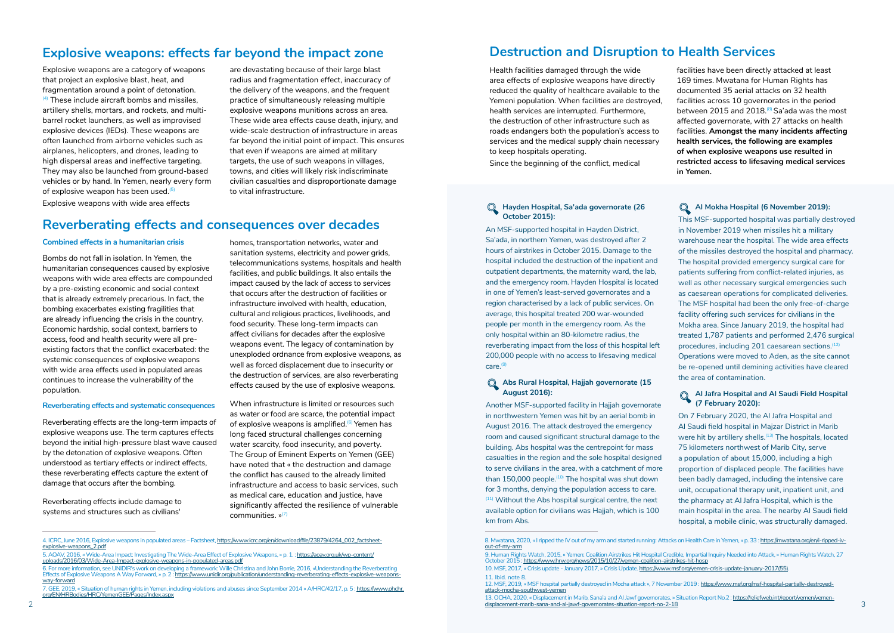### **Explosive weapons: effects far beyond the impact zone**

Explosive weapons are a category of weapons that project an explosive blast, heat, and fragmentation around a point of detonation. (4) These include aircraft bombs and missiles, artillery shells, mortars, and rockets, and multibarrel rocket launchers, as well as improvised explosive devices (IEDs). These weapons are often launched from airborne vehicles such as airplanes, helicopters, and drones, leading to high dispersal areas and ineffective targeting. They may also be launched from ground-based vehicles or by hand. In Yemen, nearly every form of explosive weapon has been used.<sup>(1)</sup> Explosive weapons with wide area effects

are devastating because of their large blast radius and fragmentation effect, inaccuracy of the delivery of the weapons, and the frequent practice of simultaneously releasing multiple explosive weapons munitions across an area. These wide area effects cause death, injury, and wide-scale destruction of infrastructure in areas far beyond the initial point of impact. This ensures that even if weapons are aimed at military targets, the use of such weapons in villages, towns, and cities will likely risk indiscriminate civilian casualties and disproportionate damage to vital infrastructure.

### **Reverberating effects and consequences over decades**

#### **Combined effects in a humanitarian crisis**

When infrastructure is limited or resources such as water or food are scarce, the potential impact of explosive weapons is amplified.<sup>(6)</sup> Yemen has long faced structural challenges concerning water scarcity, food insecurity, and poverty. The Group of Eminent Experts on Yemen (GEE) have noted that « the destruction and damage the conflict has caused to the already limited infrastructure and access to basic services, such as medical care, education and justice, have significantly affected the resilience of vulnerable  $commu$ nities  $v^{7}$ 

Bombs do not fall in isolation. In Yemen, the humanitarian consequences caused by explosive weapons with wide area effects are compounded by a pre-existing economic and social context that is already extremely precarious. In fact, the bombing exacerbates existing fragilities that are already influencing the crisis in the country. Economic hardship, social context, barriers to access, food and health security were all preexisting factors that the conflict exacerbated: the systemic consequences of explosive weapons with wide area effects used in populated areas continues to increase the vulnerability of the population.

#### **Reverberating effects and systematic consequences**

Reverberating effects are the long-term impacts of explosive weapons use. The term captures effects beyond the initial high-pressure blast wave caused by the detonation of explosive weapons. Often understood as tertiary effects or indirect effects, these reverberating effects capture the extent of damage that occurs after the bombing.

Reverberating effects include damage to systems and structures such as civilians'

homes, transportation networks, water and sanitation systems, electricity and power grids, telecommunications systems, hospitals and health facilities, and public buildings. It also entails the impact caused by the lack of access to services that occurs after the destruction of facilities or infrastructure involved with health, education, cultural and religious practices, livelihoods, and food security. These long-term impacts can affect civilians for decades after the explosive weapons event. The legacy of contamination by unexploded ordnance from explosive weapons, as well as forced displacement due to insecurity or the destruction of services, are also reverberating effects caused by the use of explosive weapons.

### **Destruction and Disruption to Health Services**

Health facilities damaged through the wide area effects of explosive weapons have directly reduced the quality of healthcare available to the Yemeni population. When facilities are destroyed, health services are interrupted. Furthermore, the destruction of other infrastructure such as roads endangers both the population's access to services and the medical supply chain necessary to keep hospitals operating.

Since the beginning of the conflict, medical

facilities have been directly attacked at least 169 times. Mwatana for Human Rights has documented 35 aerial attacks on 32 health facilities across 10 governorates in the period between 2015 and 2018.<sup>(8)</sup> Sa'ada was the most affected governorate, with 27 attacks on health facilities. **Amongst the many incidents affecting health services, the following are examples of when explosive weapons use resulted in restricted access to lifesaving medical services in Yemen.**

#### **Hayden Hospital, Sa'ada governorate (26 October 2015):**

An MSF-supported hospital in Hayden District, Sa'ada, in northern Yemen, was destroyed after 2 hours of airstrikes in October 2015. Damage to the hospital included the destruction of the inpatient and outpatient departments, the maternity ward, the lab, and the emergency room. Hayden Hospital is located in one of Yemen's least-served governorates and a region characterised by a lack of public services. On average, this hospital treated 200 war-wounded people per month in the emergency room. As the only hospital within an 80-kilometre radius, the reverberating impact from the loss of this hospital left 200,000 people with no access to lifesaving medical care.(9)

### **Abs Rural Hospital, Hajjah governorate (15 August 2016):**

Another MSF-supported facility in Hajjah governorate in northwestern Yemen was hit by an aerial bomb in August 2016. The attack destroyed the emergency room and caused significant structural damage to the building. Abs hospital was the centrepoint for mass casualties in the region and the sole hospital designed to serve civilians in the area, with a catchment of more than  $150,000$  people. $^{(10)}$  The hospital was shut down for 3 months, denying the population access to care.  $(11)$  Without the Abs hospital surgical centre, the next available option for civilians was Hajjah, which is 100 km from Abs.

**Al Mokha Hospital (6 November 2019):** This MSF-supported hospital was partially destroyed in November 2019 when missiles hit a military warehouse near the hospital. The wide area effects of the missiles destroyed the hospital and pharmacy. The hospital provided emergency surgical care for patients suffering from conflict-related injuries, as well as other necessary surgical emergencies such as caesarean operations for complicated deliveries. The MSF hospital had been the only free-of-charge facility offering such services for civilians in the Mokha area. Since January 2019, the hospital had treated 1,787 patients and performed 2,476 surgical procedures, including 201 caesarean sections.<sup>(12)</sup> Operations were moved to Aden, as the site cannot be re-opened until demining activities have cleared the area of contamination.

#### **Al Jafra Hospital and Al Saudi Field Hospital (7 February 2020):**

On 7 February 2020, the Al Jafra Hospital and Al Saudi field hospital in Majzar District in Marib were hit by artillery shells.<sup>(13)</sup> The hospitals, located 75 kilometers northwest of Marib City, serve a population of about 15,000, including a high proportion of displaced people. The facilities have been badly damaged, including the intensive care unit, occupational therapy unit, inpatient unit, and the pharmacy at Al Jafra Hospital, which is the main hospital in the area. The nearby Al Saudi field hospital, a mobile clinic, was structurally damaged.

12. MSF, 2019, « MSF hospital partially destroyed in Mocha attack », 7 November 2019 : [https://www.msf.org/msf-hospital-partially-destroyed-](https://www.msf.org/msf-hospital-partially-destroyed-attack-mocha-southwest-yemen)

<sup>5.</sup> AOAV, 2016, « Wide-Area Impact: Investigating The Wide-Area Effect of Explosive Weapons, » p. 1.: [https://aoav.org.uk/wp-content/](https://aoav.org.uk/wp-content/uploads/2016/03/Wide-Area-Impact-explosive-weapons-in-populated-areas.pdf) [uploads/2016/03/Wide-Area-Impact-explosive-weapons-in-populated-areas.pdf](https://aoav.org.uk/wp-content/uploads/2016/03/Wide-Area-Impact-explosive-weapons-in-populated-areas.pdf)

<sup>8.</sup> Mwatana. 2020, « I ripped the IV out of my arm and started running: Attacks on Health Care in Yemen, » p. 33 : [https://mwatana.org/en/i-ripped-iv](https://mwatana.org/en/i-ripped-iv-out-of-my-arm)[out-of-my-arm](https://mwatana.org/en/i-ripped-iv-out-of-my-arm)

<sup>4.</sup> ICRC, June 2016, Explosive weapons in populated areas – Factsheet, [https://www.icrc.org/en/download/file/23879/4264\\_002\\_factsheet](https://www.icrc.org/en/download/file/23879/4264_002_factsheet-explosive-weapons_2.pdf)[explosive-weapons\\_2.pdf](https://www.icrc.org/en/download/file/23879/4264_002_factsheet-explosive-weapons_2.pdf)

<sup>6.</sup> For more information, see UNIDIR's work on developing a framework: Wille Christina and John Borrie, 2016, «Understanding the Reverberating Effects of Explosive Weapons A Way Forward, » p. 2 : [https://www.unidir.org/publication/understanding-reverberating-effects-explosive-weapons](https://www.unidir.org/publication/understanding-reverberating-effects-explosive-weapons-way-forward)[way-forward](https://www.unidir.org/publication/understanding-reverberating-effects-explosive-weapons-way-forward)

<sup>7.</sup> GEE, 2019, « Situation of human rights in Yemen, including violations and abuses since September 2014 » A/HRC/42/17, p. 5 : [https://www.ohchr.](https://www.ohchr.org/EN/HRBodies/HRC/YemenGEE/Pages/Index.aspx) [org/EN/HRBodies/HRC/YemenGEE/Pages/Index.aspx](https://www.ohchr.org/EN/HRBodies/HRC/YemenGEE/Pages/Index.aspx)

<sup>9.</sup> Human Rights Watch, 2015, « Yemen: Coalition Airstrikes Hit Hospital Credible, Impartial Inquiry Needed into Attack, » Human Rights Watch, 27 October 2015 :<https://www.hrw.org/news/2015/10/27/yemen-coalition-airstrikes-hit-hosp> 10. MSF, 2017, « Crisis update - January 2017, » Crisis Update. [https://www.msf.org/yemen-crisis-update-january-2017\(55\).](https://www.msf.org/yemen-crisis-update-january-2017)

<sup>11.</sup> Ibid. note 8.

[attack-mocha-southwest-yemen](https://www.msf.org/msf-hospital-partially-destroyed-attack-mocha-southwest-yemen)

<sup>13.</sup> OCHA, 2020, « Displacement in Marib, Sana'a and Al Jawf governorates, » Situation Report No.2 : [https://reliefweb.int/report/yemen/yemen-](https://reliefweb.int/report/yemen/yemen-displacement-marib-sana-and-al-jawf-governorates-situation-report-no-2-18)2 [displacement-marib-sana-and-al-jawf-governorates-situation-report-no-2-1](https://reliefweb.int/report/yemen/yemen-displacement-marib-sana-and-al-jawf-governorates-situation-report-no-2-18)8 3